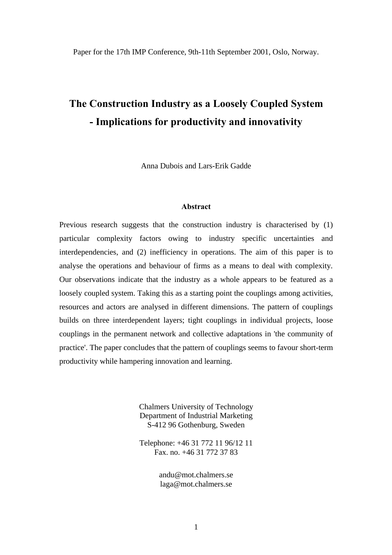Paper for the 17th IMP Conference, 9th-11th September 2001, Oslo, Norway.

# **The Construction Industry as a Loosely Coupled System - Implications for productivity and innovativity**

Anna Dubois and Lars-Erik Gadde

#### **Abstract**

Previous research suggests that the construction industry is characterised by (1) particular complexity factors owing to industry specific uncertainties and interdependencies, and (2) inefficiency in operations. The aim of this paper is to analyse the operations and behaviour of firms as a means to deal with complexity. Our observations indicate that the industry as a whole appears to be featured as a loosely coupled system. Taking this as a starting point the couplings among activities, resources and actors are analysed in different dimensions. The pattern of couplings builds on three interdependent layers; tight couplings in individual projects, loose couplings in the permanent network and collective adaptations in 'the community of practice'. The paper concludes that the pattern of couplings seems to favour short-term productivity while hampering innovation and learning.

> Chalmers University of Technology Department of Industrial Marketing S-412 96 Gothenburg, Sweden

> Telephone: +46 31 772 11 96/12 11 Fax. no. +46 31 772 37 83

> > andu@mot.chalmers.se laga@mot.chalmers.se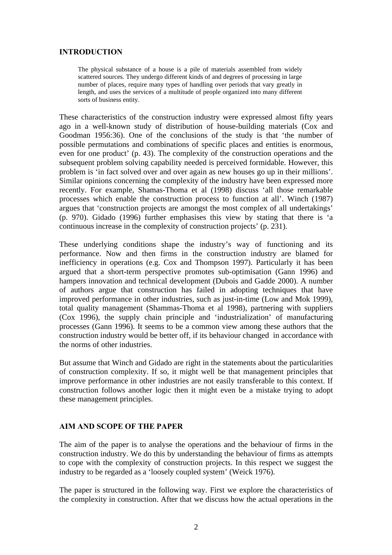#### **INTRODUCTION**

The physical substance of a house is a pile of materials assembled from widely scattered sources. They undergo different kinds of and degrees of processing in large number of places, require many types of handling over periods that vary greatly in length, and uses the services of a multitude of people organized into many different sorts of business entity.

These characteristics of the construction industry were expressed almost fifty years ago in a well-known study of distribution of house-building materials (Cox and Goodman 1956:36). One of the conclusions of the study is that 'the number of possible permutations and combinations of specific places and entities is enormous, even for one product' (p. 43). The complexity of the construction operations and the subsequent problem solving capability needed is perceived formidable. However, this problem is 'in fact solved over and over again as new houses go up in their millions'. Similar opinions concerning the complexity of the industry have been expressed more recently. For example, Shamas-Thoma et al (1998) discuss 'all those remarkable processes which enable the construction process to function at all'. Winch (1987) argues that 'construction projects are amongst the most complex of all undertakings' (p. 970). Gidado (1996) further emphasises this view by stating that there is 'a continuous increase in the complexity of construction projects' (p. 231).

These underlying conditions shape the industry's way of functioning and its performance. Now and then firms in the construction industry are blamed for inefficiency in operations (e.g. Cox and Thompson 1997). Particularly it has been argued that a short-term perspective promotes sub-optimisation (Gann 1996) and hampers innovation and technical development (Dubois and Gadde 2000). A number of authors argue that construction has failed in adopting techniques that have improved performance in other industries, such as just-in-time (Low and Mok 1999), total quality management (Shammas-Thoma et al 1998), partnering with suppliers (Cox 1996), the supply chain principle and 'industrialization' of manufacturing processes (Gann 1996). It seems to be a common view among these authors that the construction industry would be better off, if its behaviour changed in accordance with the norms of other industries.

But assume that Winch and Gidado are right in the statements about the particularities of construction complexity. If so, it might well be that management principles that improve performance in other industries are not easily transferable to this context. If construction follows another logic then it might even be a mistake trying to adopt these management principles.

#### **AIM AND SCOPE OF THE PAPER**

The aim of the paper is to analyse the operations and the behaviour of firms in the construction industry. We do this by understanding the behaviour of firms as attempts to cope with the complexity of construction projects. In this respect we suggest the industry to be regarded as a 'loosely coupled system' (Weick 1976).

The paper is structured in the following way. First we explore the characteristics of the complexity in construction. After that we discuss how the actual operations in the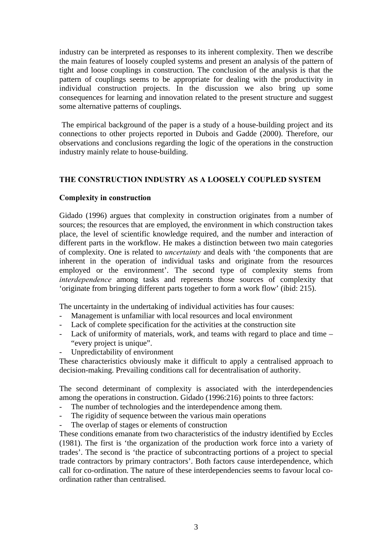industry can be interpreted as responses to its inherent complexity. Then we describe the main features of loosely coupled systems and present an analysis of the pattern of tight and loose couplings in construction. The conclusion of the analysis is that the pattern of couplings seems to be appropriate for dealing with the productivity in individual construction projects. In the discussion we also bring up some consequences for learning and innovation related to the present structure and suggest some alternative patterns of couplings.

 The empirical background of the paper is a study of a house-building project and its connections to other projects reported in Dubois and Gadde (2000). Therefore, our observations and conclusions regarding the logic of the operations in the construction industry mainly relate to house-building.

# **THE CONSTRUCTION INDUSTRY AS A LOOSELY COUPLED SYSTEM**

## **Complexity in construction**

Gidado (1996) argues that complexity in construction originates from a number of sources; the resources that are employed, the environment in which construction takes place, the level of scientific knowledge required, and the number and interaction of different parts in the workflow. He makes a distinction between two main categories of complexity. One is related to *uncertainty* and deals with 'the components that are inherent in the operation of individual tasks and originate from the resources employed or the environment'. The second type of complexity stems from *interdependence* among tasks and represents those sources of complexity that 'originate from bringing different parts together to form a work flow' (ibid: 215).

The uncertainty in the undertaking of individual activities has four causes:

- Management is unfamiliar with local resources and local environment
- Lack of complete specification for the activities at the construction site
- Lack of uniformity of materials, work, and teams with regard to place and time "every project is unique".
- Unpredictability of environment

These characteristics obviously make it difficult to apply a centralised approach to decision-making. Prevailing conditions call for decentralisation of authority.

The second determinant of complexity is associated with the interdependencies among the operations in construction. Gidado (1996:216) points to three factors:

- The number of technologies and the interdependence among them.
- The rigidity of sequence between the various main operations
- The overlap of stages or elements of construction

These conditions emanate from two characteristics of the industry identified by Eccles (1981). The first is 'the organization of the production work force into a variety of trades'. The second is 'the practice of subcontracting portions of a project to special trade contractors by primary contractors'. Both factors cause interdependence, which call for co-ordination. The nature of these interdependencies seems to favour local coordination rather than centralised.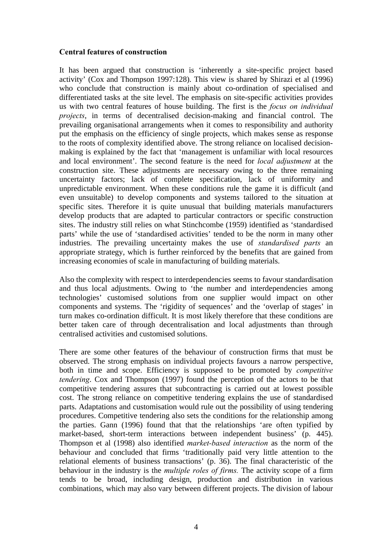#### **Central features of construction**

It has been argued that construction is 'inherently a site-specific project based activity' (Cox and Thompson 1997:128). This view is shared by Shirazi et al (1996) who conclude that construction is mainly about co-ordination of specialised and differentiated tasks at the site level. The emphasis on site-specific activities provides us with two central features of house building. The first is the *focus on individual projects*, in terms of decentralised decision-making and financial control. The prevailing organisational arrangements when it comes to responsibility and authority put the emphasis on the efficiency of single projects, which makes sense as response to the roots of complexity identified above. The strong reliance on localised decisionmaking is explained by the fact that 'management is unfamiliar with local resources and local environment'. The second feature is the need for *local adjustment* at the construction site. These adjustments are necessary owing to the three remaining uncertainty factors; lack of complete specification, lack of uniformity and unpredictable environment. When these conditions rule the game it is difficult (and even unsuitable) to develop components and systems tailored to the situation at specific sites. Therefore it is quite unusual that building materials manufacturers develop products that are adapted to particular contractors or specific construction sites. The industry still relies on what Stinchcombe (1959) identified as 'standardised parts' while the use of 'standardised activities' tended to be the norm in many other industries. The prevailing uncertainty makes the use of *standardised parts* an appropriate strategy, which is further reinforced by the benefits that are gained from increasing economies of scale in manufacturing of building materials.

Also the complexity with respect to interdependencies seems to favour standardisation and thus local adjustments. Owing to 'the number and interdependencies among technologies' customised solutions from one supplier would impact on other components and systems. The 'rigidity of sequences' and the 'overlap of stages' in turn makes co-ordination difficult. It is most likely therefore that these conditions are better taken care of through decentralisation and local adjustments than through centralised activities and customised solutions.

There are some other features of the behaviour of construction firms that must be observed. The strong emphasis on individual projects favours a narrow perspective, both in time and scope. Efficiency is supposed to be promoted by *competitive tendering*. Cox and Thompson (1997) found the perception of the actors to be that competitive tendering assures that subcontracting is carried out at lowest possible cost. The strong reliance on competitive tendering explains the use of standardised parts. Adaptations and customisation would rule out the possibility of using tendering procedures. Competitive tendering also sets the conditions for the relationship among the parties. Gann (1996) found that that the relationships 'are often typified by market-based, short-term interactions between independent business' (p. 445). Thompson et al (1998) also identified *market-based interaction* as the norm of the behaviour and concluded that firms 'traditionally paid very little attention to the relational elements of business transactions' (p. 36). The final characteristic of the behaviour in the industry is the *multiple roles of firms.* The activity scope of a firm tends to be broad, including design, production and distribution in various combinations, which may also vary between different projects. The division of labour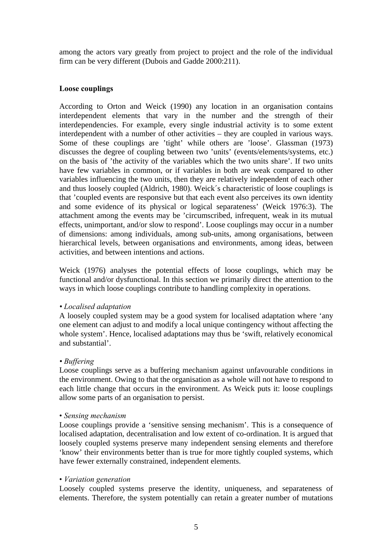among the actors vary greatly from project to project and the role of the individual firm can be very different (Dubois and Gadde 2000:211).

#### **Loose couplings**

According to Orton and Weick (1990) any location in an organisation contains interdependent elements that vary in the number and the strength of their interdependencies. For example, every single industrial activity is to some extent interdependent with a number of other activities – they are coupled in various ways. Some of these couplings are 'tight' while others are 'loose'. Glassman (1973) discusses the degree of coupling between two 'units' (events/elements/systems, etc.) on the basis of 'the activity of the variables which the two units share'. If two units have few variables in common, or if variables in both are weak compared to other variables influencing the two units, then they are relatively independent of each other and thus loosely coupled (Aldrich, 1980). Weick´s characteristic of loose couplings is that 'coupled events are responsive but that each event also perceives its own identity and some evidence of its physical or logical separateness' (Weick 1976:3). The attachment among the events may be 'circumscribed, infrequent, weak in its mutual effects, unimportant, and/or slow to respond'. Loose couplings may occur in a number of dimensions: among individuals, among sub-units, among organisations, between hierarchical levels, between organisations and environments, among ideas, between activities, and between intentions and actions.

Weick (1976) analyses the potential effects of loose couplings, which may be functional and/or dysfunctional. In this section we primarily direct the attention to the ways in which loose couplings contribute to handling complexity in operations.

#### *• Localised adaptation*

A loosely coupled system may be a good system for localised adaptation where 'any one element can adjust to and modify a local unique contingency without affecting the whole system'. Hence, localised adaptations may thus be 'swift, relatively economical and substantial'.

#### *• Buffering*

Loose couplings serve as a buffering mechanism against unfavourable conditions in the environment. Owing to that the organisation as a whole will not have to respond to each little change that occurs in the environment. As Weick puts it: loose couplings allow some parts of an organisation to persist.

#### • *Sensing mechanism*

Loose couplings provide a 'sensitive sensing mechanism'. This is a consequence of localised adaptation, decentralisation and low extent of co-ordination. It is argued that loosely coupled systems preserve many independent sensing elements and therefore 'know' their environments better than is true for more tightly coupled systems, which have fewer externally constrained, independent elements.

#### • *Variation generation*

Loosely coupled systems preserve the identity, uniqueness, and separateness of elements. Therefore, the system potentially can retain a greater number of mutations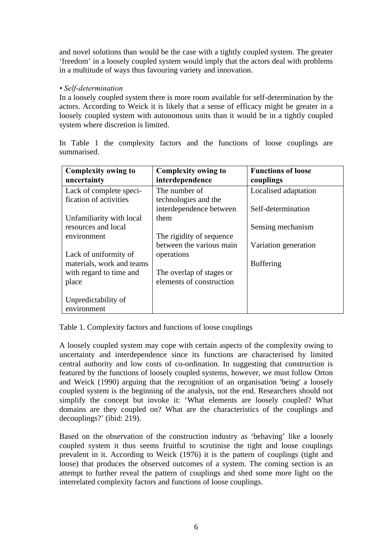and novel solutions than would be the case with a tightly coupled system. The greater 'freedom' in a loosely coupled system would imply that the actors deal with problems in a multitude of ways thus favouring variety and innovation.

## *• Self-determination*

In a loosely coupled system there is more room available for self-determination by the actors. According to Weick it is likely that a sense of efficacy might be greater in a loosely coupled system with autonomous units than it would be in a tightly coupled system where discretion is limited.

| <b>Complexity owing to</b><br>uncertainty | <b>Complexity owing to</b><br>interdependence | <b>Functions of loose</b><br>couplings |
|-------------------------------------------|-----------------------------------------------|----------------------------------------|
| Lack of complete speci-                   | The number of                                 | Localised adaptation                   |
| fication of activities                    | technologies and the                          |                                        |
|                                           | interdependence between                       | Self-determination                     |
| Unfamiliarity with local                  | them                                          |                                        |
| resources and local                       |                                               | Sensing mechanism                      |
| environment                               | The rigidity of sequence                      |                                        |
|                                           | between the various main                      | Variation generation                   |
| Lack of uniformity of                     | operations                                    |                                        |
| materials, work and teams                 |                                               | <b>Buffering</b>                       |
| with regard to time and                   | The overlap of stages or                      |                                        |
| place                                     | elements of construction                      |                                        |
|                                           |                                               |                                        |
| Unpredictability of                       |                                               |                                        |
| environment                               |                                               |                                        |

In Table 1 the complexity factors and the functions of loose couplings are summarised.

Table 1. Complexity factors and functions of loose couplings

A loosely coupled system may cope with certain aspects of the complexity owing to uncertainty and interdependence since its functions are characterised by limited central authority and low costs of co-ordination. In suggesting that construction is featured by the functions of loosely coupled systems, however, we must follow Orton and Weick (1990) arguing that the recognition of an organisation 'being' a loosely coupled system is the beginning of the analysis, not the end. Researchers should not simplify the concept but invoke it: 'What elements are loosely coupled? What domains are they coupled on? What are the characteristics of the couplings and decouplings?' (ibid: 219).

Based on the observation of the construction industry as 'behaving' like a loosely coupled system it thus seems fruitful to scrutinise the tight and loose couplings prevalent in it. According to Weick (1976) it is the pattern of couplings (tight and loose) that produces the observed outcomes of a system. The coming section is an attempt to further reveal the pattern of couplings and shed some more light on the interrelated complexity factors and functions of loose couplings.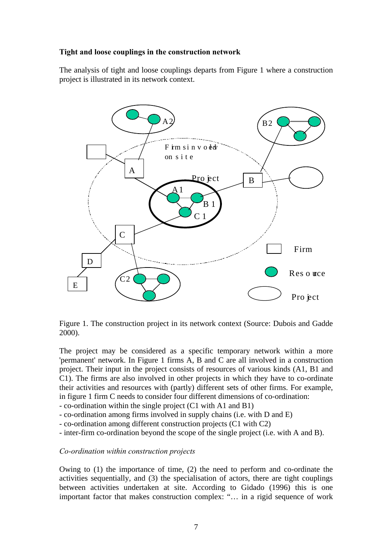### **Tight and loose couplings in the construction network**

The analysis of tight and loose couplings departs from Figure 1 where a construction project is illustrated in its network context.



Figure 1. The construction project in its network context (Source: Dubois and Gadde 2000).

The project may be considered as a specific temporary network within a more 'permanent' network. In Figure 1 firms A, B and C are all involved in a construction project. Their input in the project consists of resources of various kinds (A1, B1 and C1). The firms are also involved in other projects in which they have to co-ordinate their activities and resources with (partly) different sets of other firms. For example, in figure 1 firm C needs to consider four different dimensions of co-ordination:

- co-ordination within the single project (C1 with A1 and B1)

- co-ordination among firms involved in supply chains (i.e. with D and E)
- co-ordination among different construction projects (C1 with C2)
- inter-firm co-ordination beyond the scope of the single project (i.e. with A and B).

#### *Co-ordination within construction projects*

Owing to (1) the importance of time, (2) the need to perform and co-ordinate the activities sequentially, and (3) the specialisation of actors, there are tight couplings between activities undertaken at site. According to Gidado (1996) this is one important factor that makes construction complex: "… in a rigid sequence of work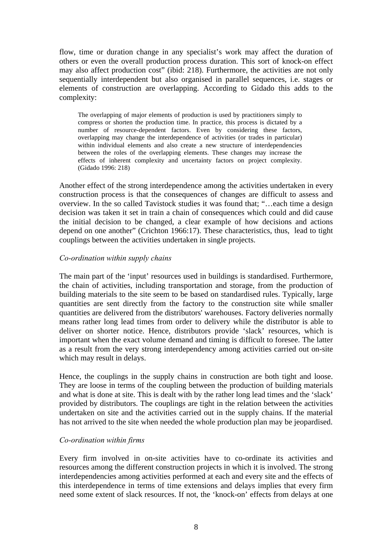flow, time or duration change in any specialist's work may affect the duration of others or even the overall production process duration. This sort of knock-on effect may also affect production cost" (ibid: 218). Furthermore, the activities are not only sequentially interdependent but also organised in parallel sequences, i.e. stages or elements of construction are overlapping. According to Gidado this adds to the complexity:

The overlapping of major elements of production is used by practitioners simply to compress or shorten the production time. In practice, this process is dictated by a number of resource-dependent factors. Even by considering these factors, overlapping may change the interdependence of activities (or trades in particular) within individual elements and also create a new structure of interdependencies between the roles of the overlapping elements. These changes may increase the effects of inherent complexity and uncertainty factors on project complexity. (Gidado 1996: 218)

Another effect of the strong interdependence among the activities undertaken in every construction process is that the consequences of changes are difficult to assess and overview. In the so called Tavistock studies it was found that; "…each time a design decision was taken it set in train a chain of consequences which could and did cause the initial decision to be changed, a clear example of how decisions and actions depend on one another" (Crichton 1966:17). These characteristics, thus, lead to tight couplings between the activities undertaken in single projects.

#### *Co-ordination within supply chains*

The main part of the 'input' resources used in buildings is standardised. Furthermore, the chain of activities, including transportation and storage, from the production of building materials to the site seem to be based on standardised rules. Typically, large quantities are sent directly from the factory to the construction site while smaller quantities are delivered from the distributors' warehouses. Factory deliveries normally means rather long lead times from order to delivery while the distributor is able to deliver on shorter notice. Hence, distributors provide 'slack' resources, which is important when the exact volume demand and timing is difficult to foresee. The latter as a result from the very strong interdependency among activities carried out on-site which may result in delays.

Hence, the couplings in the supply chains in construction are both tight and loose. They are loose in terms of the coupling between the production of building materials and what is done at site. This is dealt with by the rather long lead times and the 'slack' provided by distributors. The couplings are tight in the relation between the activities undertaken on site and the activities carried out in the supply chains. If the material has not arrived to the site when needed the whole production plan may be jeopardised.

### *Co-ordination within firms*

Every firm involved in on-site activities have to co-ordinate its activities and resources among the different construction projects in which it is involved. The strong interdependencies among activities performed at each and every site and the effects of this interdependence in terms of time extensions and delays implies that every firm need some extent of slack resources. If not, the 'knock-on' effects from delays at one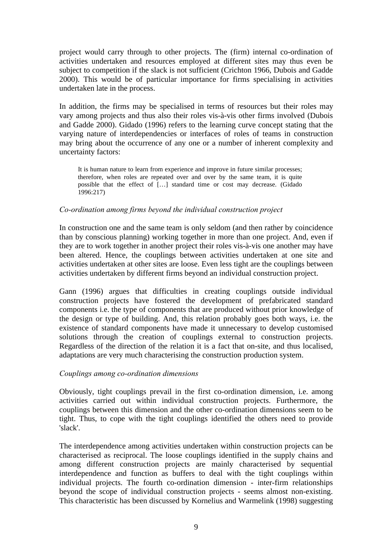project would carry through to other projects. The (firm) internal co-ordination of activities undertaken and resources employed at different sites may thus even be subject to competition if the slack is not sufficient (Crichton 1966, Dubois and Gadde 2000). This would be of particular importance for firms specialising in activities undertaken late in the process.

In addition, the firms may be specialised in terms of resources but their roles may vary among projects and thus also their roles vis-à-vis other firms involved (Dubois and Gadde 2000). Gidado (1996) refers to the learning curve concept stating that the varying nature of interdependencies or interfaces of roles of teams in construction may bring about the occurrence of any one or a number of inherent complexity and uncertainty factors:

It is human nature to learn from experience and improve in future similar processes; therefore, when roles are repeated over and over by the same team, it is quite possible that the effect of […] standard time or cost may decrease. (Gidado 1996:217)

#### *Co-ordination among firms beyond the individual construction project*

In construction one and the same team is only seldom (and then rather by coincidence than by conscious planning) working together in more than one project. And, even if they are to work together in another project their roles vis-à-vis one another may have been altered. Hence, the couplings between activities undertaken at one site and activities undertaken at other sites are loose. Even less tight are the couplings between activities undertaken by different firms beyond an individual construction project.

Gann (1996) argues that difficulties in creating couplings outside individual construction projects have fostered the development of prefabricated standard components i.e. the type of components that are produced without prior knowledge of the design or type of building. And, this relation probably goes both ways, i.e. the existence of standard components have made it unnecessary to develop customised solutions through the creation of couplings external to construction projects. Regardless of the direction of the relation it is a fact that on-site, and thus localised, adaptations are very much characterising the construction production system.

#### *Couplings among co-ordination dimensions*

Obviously, tight couplings prevail in the first co-ordination dimension, i.e. among activities carried out within individual construction projects. Furthermore, the couplings between this dimension and the other co-ordination dimensions seem to be tight. Thus, to cope with the tight couplings identified the others need to provide 'slack'.

The interdependence among activities undertaken within construction projects can be characterised as reciprocal. The loose couplings identified in the supply chains and among different construction projects are mainly characterised by sequential interdependence and function as buffers to deal with the tight couplings within individual projects. The fourth co-ordination dimension - inter-firm relationships beyond the scope of individual construction projects - seems almost non-existing. This characteristic has been discussed by Kornelius and Warmelink (1998) suggesting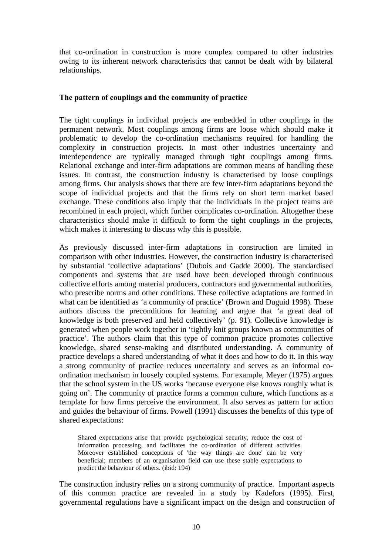that co-ordination in construction is more complex compared to other industries owing to its inherent network characteristics that cannot be dealt with by bilateral relationships.

#### **The pattern of couplings and the community of practice**

The tight couplings in individual projects are embedded in other couplings in the permanent network. Most couplings among firms are loose which should make it problematic to develop the co-ordination mechanisms required for handling the complexity in construction projects. In most other industries uncertainty and interdependence are typically managed through tight couplings among firms. Relational exchange and inter-firm adaptations are common means of handling these issues. In contrast, the construction industry is characterised by loose couplings among firms. Our analysis shows that there are few inter-firm adaptations beyond the scope of individual projects and that the firms rely on short term market based exchange. These conditions also imply that the individuals in the project teams are recombined in each project, which further complicates co-ordination. Altogether these characteristics should make it difficult to form the tight couplings in the projects, which makes it interesting to discuss why this is possible.

As previously discussed inter-firm adaptations in construction are limited in comparison with other industries. However, the construction industry is characterised by substantial 'collective adaptations' (Dubois and Gadde 2000). The standardised components and systems that are used have been developed through continuous collective efforts among material producers, contractors and governmental authorities, who prescribe norms and other conditions. These collective adaptations are formed in what can be identified as 'a community of practice' (Brown and Duguid 1998). These authors discuss the preconditions for learning and argue that 'a great deal of knowledge is both preserved and held collectively' (p. 91). Collective knowledge is generated when people work together in 'tightly knit groups known as communities of practice'. The authors claim that this type of common practice promotes collective knowledge, shared sense-making and distributed understanding. A community of practice develops a shared understanding of what it does and how to do it. In this way a strong community of practice reduces uncertainty and serves as an informal coordination mechanism in loosely coupled systems. For example, Meyer (1975) argues that the school system in the US works 'because everyone else knows roughly what is going on'. The community of practice forms a common culture, which functions as a template for how firms perceive the environment. It also serves as pattern for action and guides the behaviour of firms. Powell (1991) discusses the benefits of this type of shared expectations:

Shared expectations arise that provide psychological security, reduce the cost of information processing, and facilitates the co-ordination of different activities. Moreover established conceptions of 'the way things are done' can be very beneficial; members of an organisation field can use these stable expectations to predict the behaviour of others. (ibid: 194)

The construction industry relies on a strong community of practice. Important aspects of this common practice are revealed in a study by Kadefors (1995). First, governmental regulations have a significant impact on the design and construction of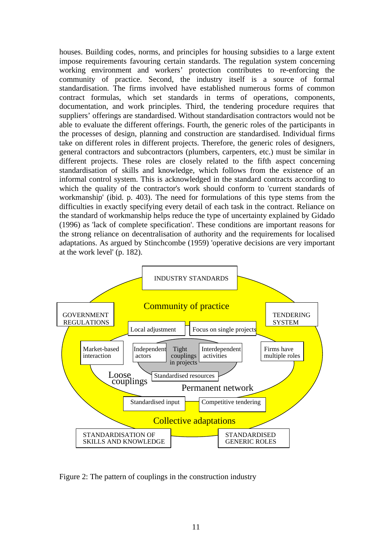houses. Building codes, norms, and principles for housing subsidies to a large extent impose requirements favouring certain standards. The regulation system concerning working environment and workers' protection contributes to re-enforcing the community of practice. Second, the industry itself is a source of formal standardisation. The firms involved have established numerous forms of common contract formulas, which set standards in terms of operations, components, documentation, and work principles. Third, the tendering procedure requires that suppliers' offerings are standardised. Without standardisation contractors would not be able to evaluate the different offerings. Fourth, the generic roles of the participants in the processes of design, planning and construction are standardised. Individual firms take on different roles in different projects. Therefore, the generic roles of designers, general contractors and subcontractors (plumbers, carpenters, etc.) must be similar in different projects. These roles are closely related to the fifth aspect concerning standardisation of skills and knowledge, which follows from the existence of an informal control system. This is acknowledged in the standard contracts according to which the quality of the contractor's work should conform to 'current standards of workmanship' (ibid. p. 403). The need for formulations of this type stems from the difficulties in exactly specifying every detail of each task in the contract. Reliance on the standard of workmanship helps reduce the type of uncertainty explained by Gidado (1996) as 'lack of complete specification'. These conditions are important reasons for the strong reliance on decentralisation of authority and the requirements for localised adaptations. As argued by Stinchcombe (1959) 'operative decisions are very important at the work level' (p. 182).



Figure 2: The pattern of couplings in the construction industry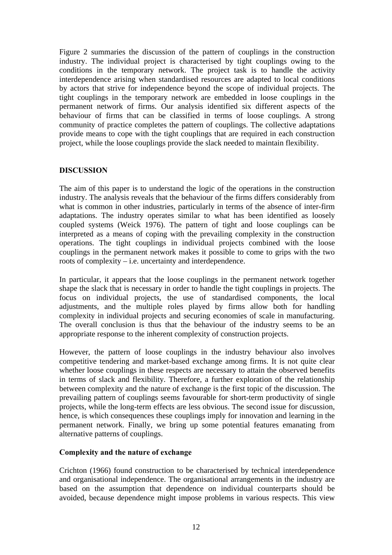Figure 2 summaries the discussion of the pattern of couplings in the construction industry. The individual project is characterised by tight couplings owing to the conditions in the temporary network. The project task is to handle the activity interdependence arising when standardised resources are adapted to local conditions by actors that strive for independence beyond the scope of individual projects. The tight couplings in the temporary network are embedded in loose couplings in the permanent network of firms. Our analysis identified six different aspects of the behaviour of firms that can be classified in terms of loose couplings. A strong community of practice completes the pattern of couplings. The collective adaptations provide means to cope with the tight couplings that are required in each construction project, while the loose couplings provide the slack needed to maintain flexibility.

## **DISCUSSION**

The aim of this paper is to understand the logic of the operations in the construction industry. The analysis reveals that the behaviour of the firms differs considerably from what is common in other industries, particularly in terms of the absence of inter-firm adaptations. The industry operates similar to what has been identified as loosely coupled systems (Weick 1976). The pattern of tight and loose couplings can be interpreted as a means of coping with the prevailing complexity in the construction operations. The tight couplings in individual projects combined with the loose couplings in the permanent network makes it possible to come to grips with the two roots of complexity – i.e. uncertainty and interdependence.

In particular, it appears that the loose couplings in the permanent network together shape the slack that is necessary in order to handle the tight couplings in projects. The focus on individual projects, the use of standardised components, the local adjustments, and the multiple roles played by firms allow both for handling complexity in individual projects and securing economies of scale in manufacturing. The overall conclusion is thus that the behaviour of the industry seems to be an appropriate response to the inherent complexity of construction projects.

However, the pattern of loose couplings in the industry behaviour also involves competitive tendering and market-based exchange among firms. It is not quite clear whether loose couplings in these respects are necessary to attain the observed benefits in terms of slack and flexibility. Therefore, a further exploration of the relationship between complexity and the nature of exchange is the first topic of the discussion. The prevailing pattern of couplings seems favourable for short-term productivity of single projects, while the long-term effects are less obvious. The second issue for discussion, hence, is which consequences these couplings imply for innovation and learning in the permanent network. Finally, we bring up some potential features emanating from alternative patterns of couplings.

# **Complexity and the nature of exchange**

Crichton (1966) found construction to be characterised by technical interdependence and organisational independence. The organisational arrangements in the industry are based on the assumption that dependence on individual counterparts should be avoided, because dependence might impose problems in various respects. This view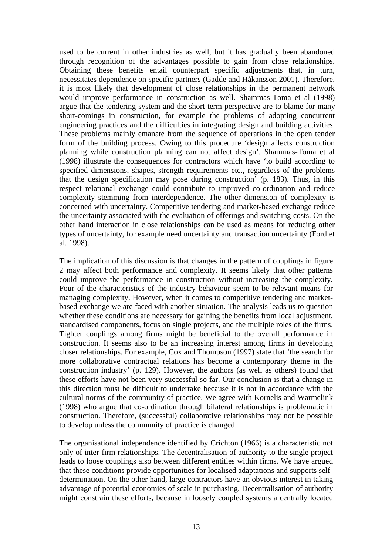used to be current in other industries as well, but it has gradually been abandoned through recognition of the advantages possible to gain from close relationships. Obtaining these benefits entail counterpart specific adjustments that, in turn, necessitates dependence on specific partners (Gadde and Håkansson 2001). Therefore, it is most likely that development of close relationships in the permanent network would improve performance in construction as well. Shammas-Toma et al (1998) argue that the tendering system and the short-term perspective are to blame for many short-comings in construction, for example the problems of adopting concurrent engineering practices and the difficulties in integrating design and building activities. These problems mainly emanate from the sequence of operations in the open tender form of the building process. Owing to this procedure 'design affects construction planning while construction planning can not affect design'. Shammas-Toma et al (1998) illustrate the consequences for contractors which have 'to build according to specified dimensions, shapes, strength requirements etc., regardless of the problems that the design specification may pose during construction' (p. 183). Thus, in this respect relational exchange could contribute to improved co-ordination and reduce complexity stemming from interdependence. The other dimension of complexity is concerned with uncertainty. Competitive tendering and market-based exchange reduce the uncertainty associated with the evaluation of offerings and switching costs. On the other hand interaction in close relationships can be used as means for reducing other types of uncertainty, for example need uncertainty and transaction uncertainty (Ford et al. 1998).

The implication of this discussion is that changes in the pattern of couplings in figure 2 may affect both performance and complexity. It seems likely that other patterns could improve the performance in construction without increasing the complexity. Four of the characteristics of the industry behaviour seem to be relevant means for managing complexity. However, when it comes to competitive tendering and marketbased exchange we are faced with another situation. The analysis leads us to question whether these conditions are necessary for gaining the benefits from local adjustment, standardised components, focus on single projects, and the multiple roles of the firms. Tighter couplings among firms might be beneficial to the overall performance in construction. It seems also to be an increasing interest among firms in developing closer relationships. For example, Cox and Thompson (1997) state that 'the search for more collaborative contractual relations has become a contemporary theme in the construction industry' (p. 129). However, the authors (as well as others) found that these efforts have not been very successful so far. Our conclusion is that a change in this direction must be difficult to undertake because it is not in accordance with the cultural norms of the community of practice. We agree with Kornelis and Warmelink (1998) who argue that co-ordination through bilateral relationships is problematic in construction. Therefore, (successful) collaborative relationships may not be possible to develop unless the community of practice is changed.

The organisational independence identified by Crichton (1966) is a characteristic not only of inter-firm relationships. The decentralisation of authority to the single project leads to loose couplings also between different entities within firms. We have argued that these conditions provide opportunities for localised adaptations and supports selfdetermination. On the other hand, large contractors have an obvious interest in taking advantage of potential economies of scale in purchasing. Decentralisation of authority might constrain these efforts, because in loosely coupled systems a centrally located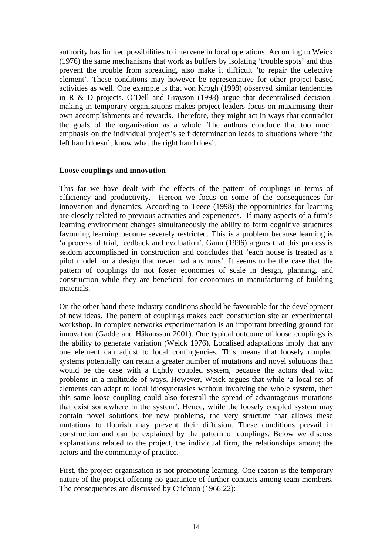authority has limited possibilities to intervene in local operations. According to Weick (1976) the same mechanisms that work as buffers by isolating 'trouble spots' and thus prevent the trouble from spreading, also make it difficult 'to repair the defective element'. These conditions may however be representative for other project based activities as well. One example is that von Krogh (1998) observed similar tendencies in R & D projects. O'Dell and Grayson (1998) argue that decentralised decisionmaking in temporary organisations makes project leaders focus on maximising their own accomplishments and rewards. Therefore, they might act in ways that contradict the goals of the organisation as a whole. The authors conclude that too much emphasis on the individual project's self determination leads to situations where 'the left hand doesn't know what the right hand does'.

#### **Loose couplings and innovation**

This far we have dealt with the effects of the pattern of couplings in terms of efficiency and productivity. Hereon we focus on some of the consequences for innovation and dynamics. According to Teece (1998) the opportunities for learning are closely related to previous activities and experiences. If many aspects of a firm's learning environment changes simultaneously the ability to form cognitive structures favouring learning become severely restricted. This is a problem because learning is 'a process of trial, feedback and evaluation'. Gann (1996) argues that this process is seldom accomplished in construction and concludes that 'each house is treated as a pilot model for a design that never had any runs'. It seems to be the case that the pattern of couplings do not foster economies of scale in design, planning, and construction while they are beneficial for economies in manufacturing of building materials.

On the other hand these industry conditions should be favourable for the development of new ideas. The pattern of couplings makes each construction site an experimental workshop. In complex networks experimentation is an important breeding ground for innovation (Gadde and Håkansson 2001). One typical outcome of loose couplings is the ability to generate variation (Weick 1976). Localised adaptations imply that any one element can adjust to local contingencies. This means that loosely coupled systems potentially can retain a greater number of mutations and novel solutions than would be the case with a tightly coupled system, because the actors deal with problems in a multitude of ways. However, Weick argues that while 'a local set of elements can adapt to local idiosyncrasies without involving the whole system, then this same loose coupling could also forestall the spread of advantageous mutations that exist somewhere in the system'. Hence, while the loosely coupled system may contain novel solutions for new problems, the very structure that allows these mutations to flourish may prevent their diffusion. These conditions prevail in construction and can be explained by the pattern of couplings. Below we discuss explanations related to the project, the individual firm, the relationships among the actors and the community of practice.

First, the project organisation is not promoting learning. One reason is the temporary nature of the project offering no guarantee of further contacts among team-members. The consequences are discussed by Crichton (1966:22):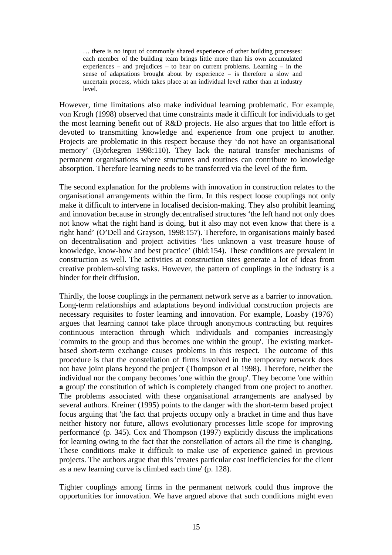… there is no input of commonly shared experience of other building processes: each member of the building team brings little more than his own accumulated experiences – and prejudices – to bear on current problems. Learning – in the sense of adaptations brought about by experience – is therefore a slow and uncertain process, which takes place at an individual level rather than at industry level.

However, time limitations also make individual learning problematic. For example, von Krogh (1998) observed that time constraints made it difficult for individuals to get the most learning benefit out of R&D projects. He also argues that too little effort is devoted to transmitting knowledge and experience from one project to another. Projects are problematic in this respect because they 'do not have an organisational memory' (Björkegren 1998:110). They lack the natural transfer mechanisms of permanent organisations where structures and routines can contribute to knowledge absorption. Therefore learning needs to be transferred via the level of the firm.

The second explanation for the problems with innovation in construction relates to the organisational arrangements within the firm. In this respect loose couplings not only make it difficult to intervene in localised decision-making. They also prohibit learning and innovation because in strongly decentralised structures 'the left hand not only does not know what the right hand is doing, but it also may not even know that there is a right hand' (O'Dell and Grayson, 1998:157). Therefore, in organisations mainly based on decentralisation and project activities 'lies unknown a vast treasure house of knowledge, know-how and best practice' (ibid:154). These conditions are prevalent in construction as well. The activities at construction sites generate a lot of ideas from creative problem-solving tasks. However, the pattern of couplings in the industry is a hinder for their diffusion.

Thirdly, the loose couplings in the permanent network serve as a barrier to innovation. Long-term relationships and adaptations beyond individual construction projects are necessary requisites to foster learning and innovation. For example, Loasby (1976) argues that learning cannot take place through anonymous contracting but requires continuous interaction through which individuals and companies increasingly 'commits to the group and thus becomes one within the group'. The existing marketbased short-term exchange causes problems in this respect. The outcome of this procedure is that the constellation of firms involved in the temporary network does not have joint plans beyond the project (Thompson et al 1998). Therefore, neither the individual nor the company becomes 'one within the group'. They become 'one within **a** group' the constitution of which is completely changed from one project to another. The problems associated with these organisational arrangements are analysed by several authors. Kreiner (1995) points to the danger with the short-term based project focus arguing that 'the fact that projects occupy only a bracket in time and thus have neither history nor future, allows evolutionary processes little scope for improving performance' (p. 345). Cox and Thompson (1997) explicitly discuss the implications for learning owing to the fact that the constellation of actors all the time is changing. These conditions make it difficult to make use of experience gained in previous projects. The authors argue that this 'creates particular cost inefficiencies for the client as a new learning curve is climbed each time' (p. 128).

Tighter couplings among firms in the permanent network could thus improve the opportunities for innovation. We have argued above that such conditions might even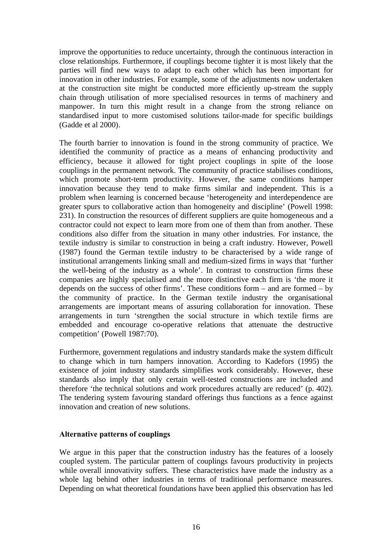improve the opportunities to reduce uncertainty, through the continuous interaction in close relationships. Furthermore, if couplings become tighter it is most likely that the parties will find new ways to adapt to each other which has been important for innovation in other industries. For example, some of the adjustments now undertaken at the construction site might be conducted more efficiently up-stream the supply chain through utilisation of more specialised resources in terms of machinery and manpower. In turn this might result in a change from the strong reliance on standardised input to more customised solutions tailor-made for specific buildings (Gadde et al 2000).

The fourth barrier to innovation is found in the strong community of practice. We identified the community of practice as a means of enhancing productivity and efficiency, because it allowed for tight project couplings in spite of the loose couplings in the permanent network. The community of practice stabilises conditions, which promote short-term productivity. However, the same conditions hamper innovation because they tend to make firms similar and independent. This is a problem when learning is concerned because 'heterogeneity and interdependence are greater spurs to collaborative action than homogeneity and discipline' (Powell 1998: 231). In construction the resources of different suppliers are quite homogeneous and a contractor could not expect to learn more from one of them than from another. These conditions also differ from the situation in many other industries. For instance, the textile industry is similar to construction in being a craft industry. However, Powell (1987) found the German textile industry to be characterised by a wide range of institutional arrangements linking small and medium-sized firms in ways that 'further the well-being of the industry as a whole'. In contrast to construction firms these companies are highly specialised and the more distinctive each firm is 'the more it depends on the success of other firms'. These conditions form – and are formed – by the community of practice. In the German textile industry the organisational arrangements are important means of assuring collaboration for innovation. These arrangements in turn 'strengthen the social structure in which textile firms are embedded and encourage co-operative relations that attenuate the destructive competition' (Powell 1987:70).

Furthermore, government regulations and industry standards make the system difficult to change which in turn hampers innovation. According to Kadefors (1995) the existence of joint industry standards simplifies work considerably. However, these standards also imply that only certain well-tested constructions are included and therefore 'the technical solutions and work procedures actually are reduced' (p. 402). The tendering system favouring standard offerings thus functions as a fence against innovation and creation of new solutions.

#### **Alternative patterns of couplings**

We argue in this paper that the construction industry has the features of a loosely coupled system. The particular pattern of couplings favours productivity in projects while overall innovativity suffers. These characteristics have made the industry as a whole lag behind other industries in terms of traditional performance measures. Depending on what theoretical foundations have been applied this observation has led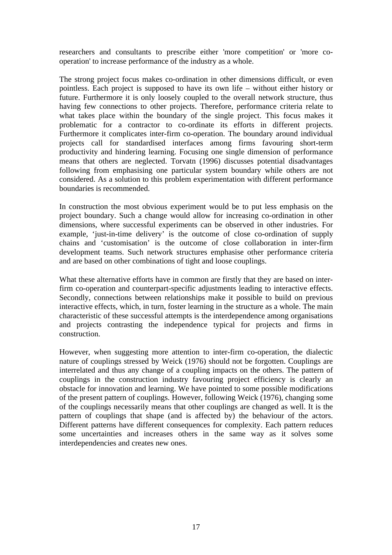researchers and consultants to prescribe either 'more competition' or 'more cooperation' to increase performance of the industry as a whole.

The strong project focus makes co-ordination in other dimensions difficult, or even pointless. Each project is supposed to have its own life – without either history or future. Furthermore it is only loosely coupled to the overall network structure, thus having few connections to other projects. Therefore, performance criteria relate to what takes place within the boundary of the single project. This focus makes it problematic for a contractor to co-ordinate its efforts in different projects. Furthermore it complicates inter-firm co-operation. The boundary around individual projects call for standardised interfaces among firms favouring short-term productivity and hindering learning. Focusing one single dimension of performance means that others are neglected. Torvatn (1996) discusses potential disadvantages following from emphasising one particular system boundary while others are not considered. As a solution to this problem experimentation with different performance boundaries is recommended.

In construction the most obvious experiment would be to put less emphasis on the project boundary. Such a change would allow for increasing co-ordination in other dimensions, where successful experiments can be observed in other industries. For example, 'just-in-time delivery' is the outcome of close co-ordination of supply chains and 'customisation' is the outcome of close collaboration in inter-firm development teams. Such network structures emphasise other performance criteria and are based on other combinations of tight and loose couplings.

What these alternative efforts have in common are firstly that they are based on interfirm co-operation and counterpart-specific adjustments leading to interactive effects. Secondly, connections between relationships make it possible to build on previous interactive effects, which, in turn, foster learning in the structure as a whole. The main characteristic of these successful attempts is the interdependence among organisations and projects contrasting the independence typical for projects and firms in construction.

However, when suggesting more attention to inter-firm co-operation, the dialectic nature of couplings stressed by Weick (1976) should not be forgotten. Couplings are interrelated and thus any change of a coupling impacts on the others. The pattern of couplings in the construction industry favouring project efficiency is clearly an obstacle for innovation and learning. We have pointed to some possible modifications of the present pattern of couplings. However, following Weick (1976), changing some of the couplings necessarily means that other couplings are changed as well. It is the pattern of couplings that shape (and is affected by) the behaviour of the actors. Different patterns have different consequences for complexity. Each pattern reduces some uncertainties and increases others in the same way as it solves some interdependencies and creates new ones.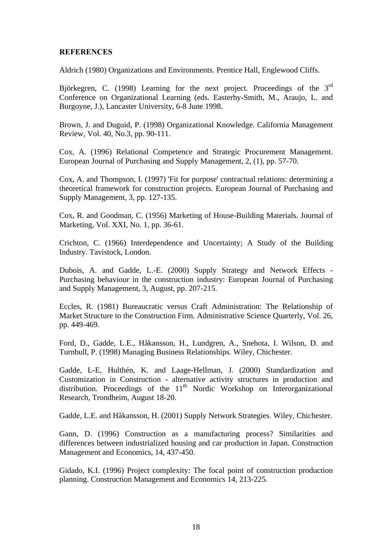### **REFERENCES**

Aldrich (1980) Organizations and Environments. Prentice Hall, Englewood Cliffs.

Björkegren, C. (1998) Learning for the next project. Proceedings of the  $3<sup>rd</sup>$ Conference on Organizational Learning (eds. Easterby-Smith, M., Araujo, L. and Burgoyne, J.), Lancaster University, 6-8 June 1998.

Brown, J. and Duguid, P. (1998) Organizational Knowledge. California Management Review, Vol. 40, No.3, pp. 90-111.

Cox, A. (1996) Relational Competence and Strategic Procurement Management. European Journal of Purchasing and Supply Management, 2, (1), pp. 57-70.

Cox, A. and Thompson, I. (1997) 'Fit for purpose' contractual relations: determining a theoretical framework for construction projects. European Journal of Purchasing and Supply Management, 3, pp. 127-135.

Cox, R. and Goodman, C. (1956) Marketing of House-Building Materials. Journal of Marketing, Vol. XXI, No. 1, pp. 36-61.

Crichton, C. (1966) Interdependence and Uncertainty; A Study of the Building Industry. Tavistock, London.

Dubois, A. and Gadde, L.-E. (2000) Supply Strategy and Network Effects - Purchasing behaviour in the construction industry: European Journal of Purchasing and Supply Management, 3, August, pp. 207-215.

Eccles, R. (1981) Bureaucratic versus Craft Administration: The Relationship of Market Structure to the Construction Firm. Administrative Science Quarterly, Vol. 26, pp. 449-469.

Ford, D., Gadde, L.E., Håkansson, H., Lundgren, A., Snehota, I. Wilson, D. and Turnbull, P. (1998) Managing Business Relationships. Wiley, Chichester.

Gadde, L-E, Hulthén, K. and Laage-Hellman, J. (2000) Standardization and Customization in Construction - alternative activity structures in production and distribution. Proceedings of the  $11<sup>th</sup>$  Nordic Workshop on Interorganizational Research, Trondheim, August 18-20.

Gadde, L.E. and Håkansson, H. (2001) Supply Network Strategies. Wiley, Chichester.

Gann, D. (1996) Construction as a manufacturing process? Similarities and differences between industrialized housing and car production in Japan. Construction Management and Economics, 14, 437-450.

Gidado, K.I. (1996) Project complexity: The focal point of construction production planning. Construction Management and Economics 14, 213-225.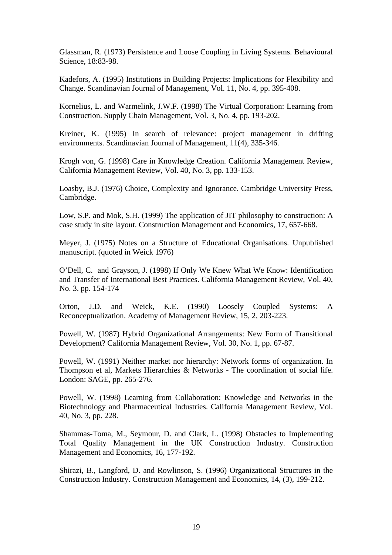Glassman, R. (1973) Persistence and Loose Coupling in Living Systems. Behavioural Science, 18:83-98.

Kadefors, A. (1995) Institutions in Building Projects: Implications for Flexibility and Change. Scandinavian Journal of Management, Vol. 11, No. 4, pp. 395-408.

Kornelius, L. and Warmelink, J.W.F. (1998) The Virtual Corporation: Learning from Construction. Supply Chain Management, Vol. 3, No. 4, pp. 193-202.

Kreiner, K. (1995) In search of relevance: project management in drifting environments. Scandinavian Journal of Management, 11(4), 335-346.

Krogh von, G. (1998) Care in Knowledge Creation. California Management Review, California Management Review, Vol. 40, No. 3, pp. 133-153.

Loasby, B.J. (1976) Choice, Complexity and Ignorance. Cambridge University Press, Cambridge.

Low, S.P. and Mok, S.H. (1999) The application of JIT philosophy to construction: A case study in site layout. Construction Management and Economics, 17, 657-668.

Meyer, J. (1975) Notes on a Structure of Educational Organisations. Unpublished manuscript. (quoted in Weick 1976)

O'Dell, C. and Grayson, J. (1998) If Only We Knew What We Know: Identification and Transfer of International Best Practices. California Management Review, Vol. 40, No. 3. pp. 154-174

Orton, J.D. and Weick, K.E. (1990) Loosely Coupled Systems: A Reconceptualization. Academy of Management Review, 15, 2, 203-223.

Powell, W. (1987) Hybrid Organizational Arrangements: New Form of Transitional Development? California Management Review, Vol. 30, No. 1, pp. 67-87.

Powell, W. (1991) Neither market nor hierarchy: Network forms of organization. In Thompson et al, Markets Hierarchies & Networks - The coordination of social life. London: SAGE, pp. 265-276.

Powell, W. (1998) Learning from Collaboration: Knowledge and Networks in the Biotechnology and Pharmaceutical Industries. California Management Review, Vol. 40, No. 3, pp. 228.

Shammas-Toma, M., Seymour, D. and Clark, L. (1998) Obstacles to Implementing Total Quality Management in the UK Construction Industry. Construction Management and Economics, 16, 177-192.

Shirazi, B., Langford, D. and Rowlinson, S. (1996) Organizational Structures in the Construction Industry. Construction Management and Economics, 14, (3), 199-212.